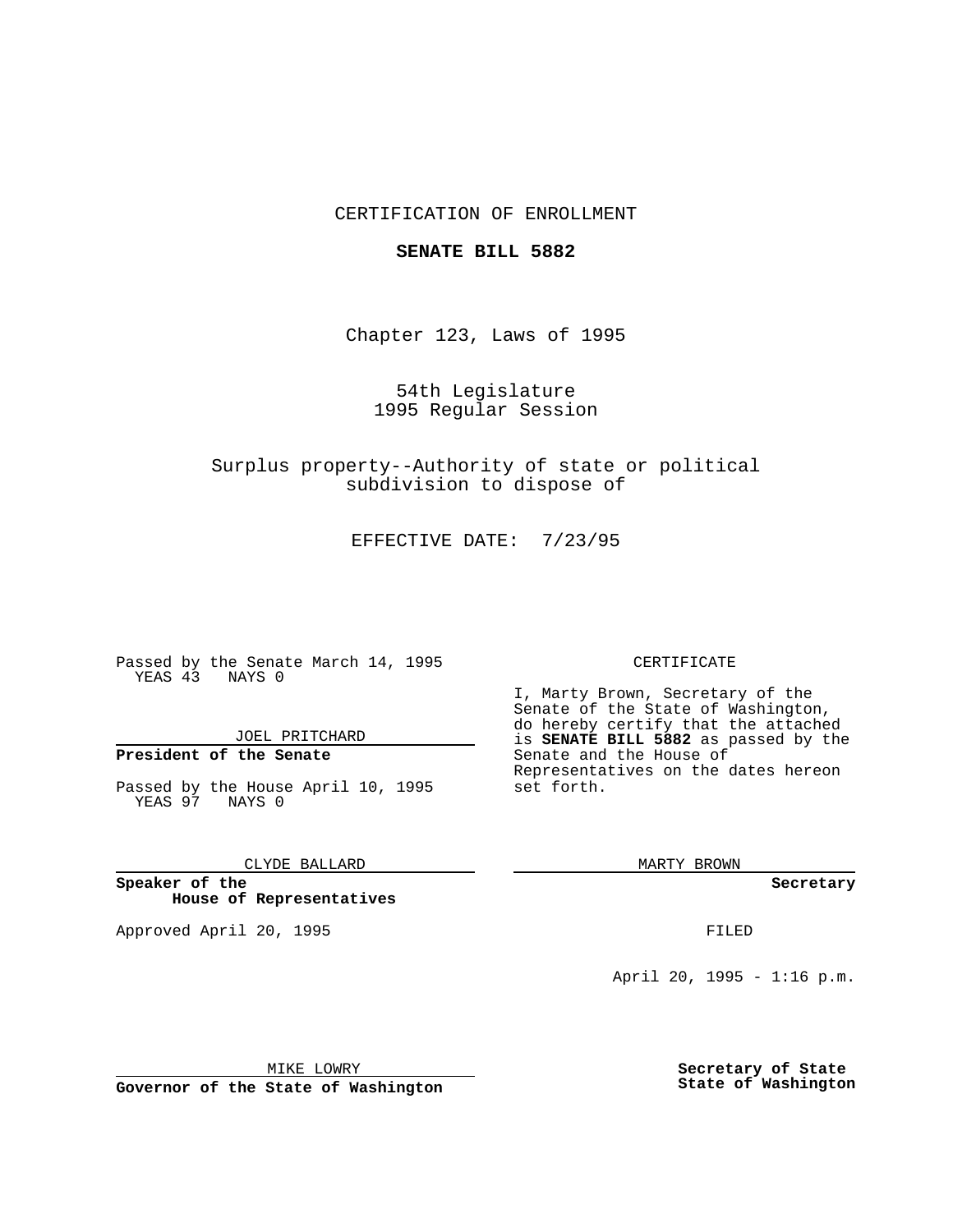# CERTIFICATION OF ENROLLMENT

### **SENATE BILL 5882**

Chapter 123, Laws of 1995

54th Legislature 1995 Regular Session

Surplus property--Authority of state or political subdivision to dispose of

EFFECTIVE DATE: 7/23/95

Passed by the Senate March 14, 1995 YEAS 43 NAYS 0

JOEL PRITCHARD

# **President of the Senate**

Passed by the House April 10, 1995 YEAS 97 NAYS 0

CLYDE BALLARD

**Speaker of the House of Representatives**

Approved April 20, 1995 FILED

#### CERTIFICATE

I, Marty Brown, Secretary of the Senate of the State of Washington, do hereby certify that the attached is **SENATE BILL 5882** as passed by the Senate and the House of Representatives on the dates hereon set forth.

MARTY BROWN

**Secretary**

April 20, 1995 - 1:16 p.m.

MIKE LOWRY

**Governor of the State of Washington**

**Secretary of State State of Washington**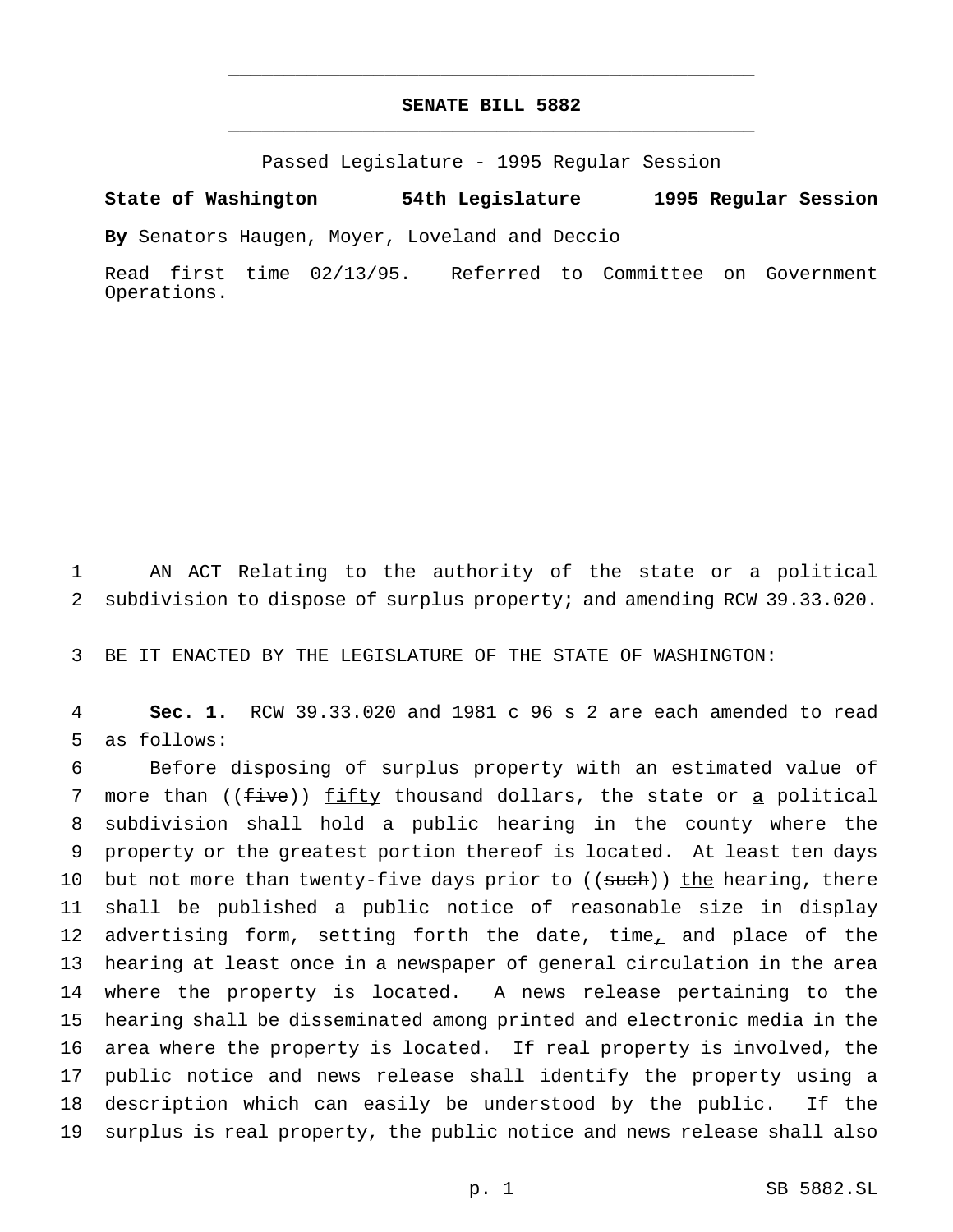# **SENATE BILL 5882** \_\_\_\_\_\_\_\_\_\_\_\_\_\_\_\_\_\_\_\_\_\_\_\_\_\_\_\_\_\_\_\_\_\_\_\_\_\_\_\_\_\_\_\_\_\_\_

\_\_\_\_\_\_\_\_\_\_\_\_\_\_\_\_\_\_\_\_\_\_\_\_\_\_\_\_\_\_\_\_\_\_\_\_\_\_\_\_\_\_\_\_\_\_\_

Passed Legislature - 1995 Regular Session

**State of Washington 54th Legislature 1995 Regular Session**

**By** Senators Haugen, Moyer, Loveland and Deccio

Read first time 02/13/95. Referred to Committee on Government Operations.

1 AN ACT Relating to the authority of the state or a political 2 subdivision to dispose of surplus property; and amending RCW 39.33.020.

3 BE IT ENACTED BY THE LEGISLATURE OF THE STATE OF WASHINGTON:

4 **Sec. 1.** RCW 39.33.020 and 1981 c 96 s 2 are each amended to read 5 as follows:

 Before disposing of surplus property with an estimated value of 7 more than ((five)) fifty thousand dollars, the state or a political subdivision shall hold a public hearing in the county where the property or the greatest portion thereof is located. At least ten days 10 but not more than twenty-five days prior to ((such)) the hearing, there shall be published a public notice of reasonable size in display 12 advertising form, setting forth the date, time, and place of the hearing at least once in a newspaper of general circulation in the area where the property is located. A news release pertaining to the hearing shall be disseminated among printed and electronic media in the area where the property is located. If real property is involved, the public notice and news release shall identify the property using a description which can easily be understood by the public. If the surplus is real property, the public notice and news release shall also